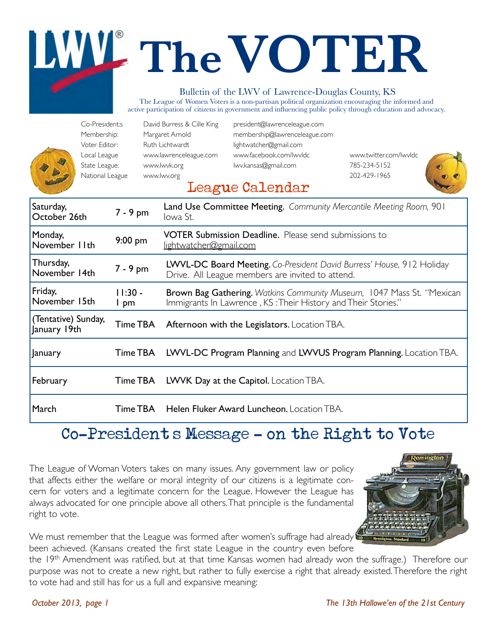# **TheVOTER**

#### Bulletin of the LWV of Lawrence-Douglas County, KS

The League of Women Voters is a non-partisan political organization encouraging the informed and active participation of citizens in government and influencing public policy through education and advocacy.

|                                     | Co-President:s<br>Membership:<br>Voter Editor:<br>Local League<br>State League:<br>National League |                   | David Burress & Cille King<br>Margaret Arnold<br>Ruth Lichtwardt<br>www.lawrenceleague.com<br>www.lwvk.org<br>www.lwv.org | president@lawrenceleague.com<br>membership@lawrenceleague.com<br>lightwatcher@gmail.com<br>www.facebook.com/lwvldc<br>lwv.kansas@gmail.com<br>League Calendar | www.twitter.com/lwvldc<br>785-234-5152<br>202-429-1965                |
|-------------------------------------|----------------------------------------------------------------------------------------------------|-------------------|---------------------------------------------------------------------------------------------------------------------------|---------------------------------------------------------------------------------------------------------------------------------------------------------------|-----------------------------------------------------------------------|
| Saturday,<br>October 26th           |                                                                                                    | $7 - 9$ pm        | lowa St.                                                                                                                  | Land Use Committee Meeting. Community Mercantile Meeting Room, 901                                                                                            |                                                                       |
| Monday,<br>November IIth            |                                                                                                    | 9:00 pm           | lightwatcher@gmail.com                                                                                                    | <b>VOTER Submission Deadline.</b> Please send submissions to                                                                                                  |                                                                       |
| Thursday,<br>November 14th          |                                                                                                    | 7 - 9 pm          |                                                                                                                           | LWVL-DC Board Meeting. Co-President David Burress' House, 912 Holiday<br>Drive. All League members are invited to attend.                                     |                                                                       |
| Friday,<br>November 15th            |                                                                                                    | $11:30 -$<br>I pm |                                                                                                                           | Immigrants In Lawrence, KS: Their History and Their Stories."                                                                                                 | Brown Bag Gathering. Watkins Community Museum, 1047 Mass St. "Mexican |
| (Tentative) Sunday,<br>January 19th |                                                                                                    | Time TBA          |                                                                                                                           | Afternoon with the Legislators. Location TBA.                                                                                                                 |                                                                       |
| January                             |                                                                                                    | Time TBA          |                                                                                                                           |                                                                                                                                                               | LWVL-DC Program Planning and LWVUS Program Planning. Location TBA.    |
| February                            |                                                                                                    | Time TBA          |                                                                                                                           | LWVK Day at the Capitol. Location TBA.                                                                                                                        |                                                                       |
| March                               |                                                                                                    | Time TBA          |                                                                                                                           | Helen Fluker Award Luncheon. Location TBA.                                                                                                                    |                                                                       |

### Co-President's Message - on the Right to Vote

The League of Woman Voters takes on many issues. Any government law or policy that affects either the welfare or moral integrity of our citizens is a legitimate concern for voters and a legitimate concern for the League. However the League has always advocated for one principle above all others. That principle is the fundamental right to vote.



We must remember that the League was formed after women's suffrage had already been achieved. (Kansans created the first state League in the country even before

the 19th Amendment was ratified, but at that time Kansas women had already won the suffrage.) Therefore our purpose was not to create a new right, but rather to fully exercise a right that already existed. Therefore the right to vote had and still has for us a full and expansive meaning: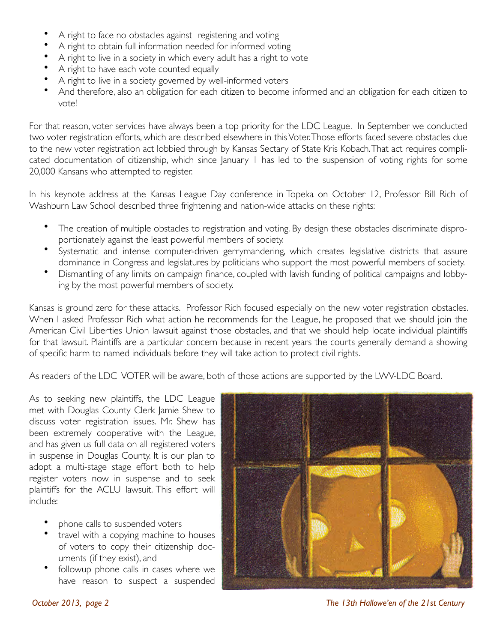- A right to face no obstacles against registering and voting
- A right to obtain full information needed for informed voting
- A right to live in a society in which every adult has a right to vote
- A right to have each vote counted equally
- A right to live in a society governed by well-informed voters
- And therefore, also an obligation for each citizen to become informed and an obligation for each citizen to vote!

For that reason, voter services have always been a top priority for the LDC League. In September we conducted two voter registration efforts, which are described elsewhere in this Voter. Those efforts faced severe obstacles due to the new voter registration act lobbied through by Kansas Sectary of State Kris Kobach. That act requires complicated documentation of citizenship, which since January 1 has led to the suspension of voting rights for some 20,000 Kansans who attempted to register.

In his keynote address at the Kansas League Day conference in Topeka on October 12, Professor Bill Rich of Washburn Law School described three frightening and nation-wide attacks on these rights:

- The creation of multiple obstacles to registration and voting. By design these obstacles discriminate disproportionately against the least powerful members of society.
- Systematic and intense computer-driven gerrymandering, which creates legislative districts that assure dominance in Congress and legislatures by politicians who support the most powerful members of society.
- Dismantling of any limits on campaign finance, coupled with lavish funding of political campaigns and lobbying by the most powerful members of society.

Kansas is ground zero for these attacks. Professor Rich focused especially on the new voter registration obstacles. When I asked Professor Rich what action he recommends for the League, he proposed that we should join the American Civil Liberties Union lawsuit against those obstacles, and that we should help locate individual plaintiffs for that lawsuit. Plaintiffs are a particular concern because in recent years the courts generally demand a showing of specific harm to named individuals before they will take action to protect civil rights.

As readers of the LDC VOTER will be aware, both of those actions are supported by the LWV-LDC Board.

As to seeking new plaintiffs, the LDC League met with Douglas County Clerk Jamie Shew to discuss voter registration issues. Mr. Shew has been extremely cooperative with the League, and has given us full data on all registered voters in suspense in Douglas County. It is our plan to adopt a multi-stage stage effort both to help register voters now in suspense and to seek plaintiffs for the ACLU lawsuit. This effort will include:

- phone calls to suspended voters
- travel with a copying machine to houses of voters to copy their citizenship documents (if they exist), and
- followup phone calls in cases where we have reason to suspect a suspended



*October 2013, page 2 The 13th Hallowe'en of the 21st Century*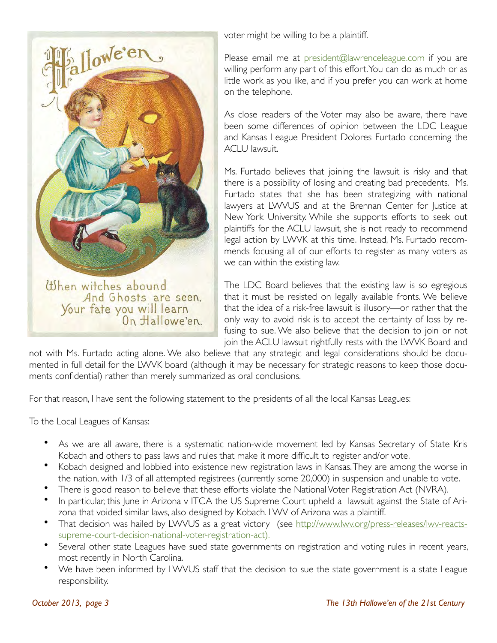

voter might be willing to be a plaintiff.

Please email me at president@lawrenceleague.com if you are willing perform any part of this effort. You can do as much or as little work as you like, and if you prefer you can work at home on the telephone.

As close readers of the Voter may also be aware, there have been some differences of opinion between the LDC League and Kansas League President Dolores Furtado concerning the ACLU lawsuit.

Ms. Furtado believes that joining the lawsuit is risky and that there is a possibility of losing and creating bad precedents. Ms. Furtado states that she has been strategizing with national lawyers at LWVUS and at the Brennan Center for Justice at New York University. While she supports efforts to seek out plaintiffs for the ACLU lawsuit, she is not ready to recommend legal action by LWVK at this time. Instead, Ms. Furtado recommends focusing all of our efforts to register as many voters as we can within the existing law.

The LDC Board believes that the existing law is so egregious that it must be resisted on legally available fronts. We believe that the idea of a risk-free lawsuit is illusory—or rather that the only way to avoid risk is to accept the certainty of loss by refusing to sue. We also believe that the decision to join or not join the ACLU lawsuit rightfully rests with the LWVK Board and

not with Ms. Furtado acting alone. We also believe that any strategic and legal considerations should be documented in full detail for the LWVK board (although it may be necessary for strategic reasons to keep those documents confidential) rather than merely summarized as oral conclusions.

For that reason, I have sent the following statement to the presidents of all the local Kansas Leagues:

To the Local Leagues of Kansas:

- As we are all aware, there is a systematic nation-wide movement led by Kansas Secretary of State Kris Kobach and others to pass laws and rules that make it more difficult to register and/or vote.
- Kobach designed and lobbied into existence new registration laws in Kansas. They are among the worse in the nation, with 1/3 of all attempted registrees (currently some 20,000) in suspension and unable to vote.
- There is good reason to believe that these efforts violate the National Voter Registration Act (NVRA).
- In particular, this June in Arizona v ITCA the US Supreme Court upheld a lawsuit against the State of Arizona that voided similar laws, also designed by Kobach. LWV of Arizona was a plaintiff.
- That decision was hailed by LWVUS as a great victory (see http://www.lwv.org/press-releases/lwv-reactssupreme-court-decision-national-voter-registration-act).
- Several other state Leagues have sued state governments on registration and voting rules in recent years, most recently in North Carolina.
- We have been informed by LWVUS staff that the decision to sue the state government is a state League responsibility.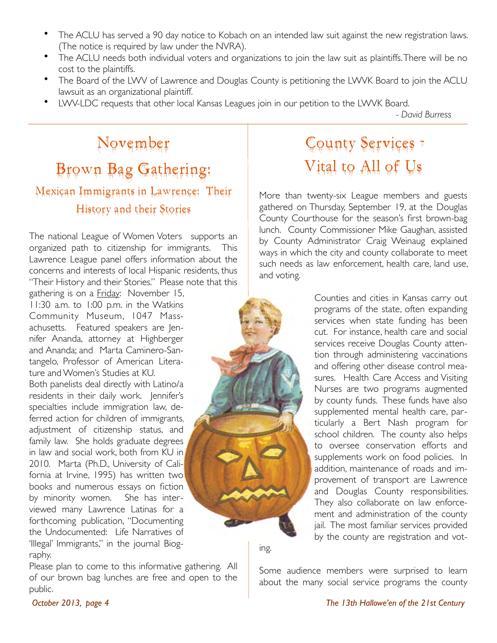- The ACLU has served a 90 day notice to Kobach on an intended law suit against the new registration laws. (The notice is required by law under the NVRA).
- The ACLU needs both individual voters and organizations to join the law suit as plaintiffs. There will be no cost to the plaintiffs.
- The Board of the LWV of Lawrence and Douglas County is petitioning the LWVK Board to join the ACLU lawsuit as an organizational plaintiff.
- LWV-LDC requests that other local Kansas Leagues join in our petition to the LWVK Board.

!! ! ! ! ! ! ! ! ! ! ! *- David Burress*

### November Brown Bag Gathering: Mexican Immigrants in Lawrence: Their History and their Stories

The national League of Women Voters supports an organized path to citizenship for immigrants. This Lawrence League panel offers information about the concerns and interests of local Hispanic residents, thus "Their History and their Stories." Please note that this

gathering is on a Friday: November 15, 11:30 a.m. to 1:00 p.m. in the Watkins Community Museum, 1047 Massachusetts. Featured speakers are Jennifer Ananda, attorney at Highberger and Ananda; and Marta Caminero-Santangelo, Professor of American Literature and Women's Studies at KU.

Both panelists deal directly with Latino/a residents in their daily work. Jennifer's specialties include immigration law, deferred action for children of immigrants, adjustment of citizenship status, and family law. She holds graduate degrees in law and social work, both from KU in 2010. Marta (Ph.D., University of California at Irvine, 1995) has written two books and numerous essays on fiction by minority women. She has interviewed many Lawrence Latinas for a forthcoming publication, "Documenting the Undocumented: Life Narratives of 'Illegal' Immigrants," in the journal Biography.

Please plan to come to this informative gathering. All of our brown bag lunches are free and open to the public.

# County Services – Vital to All of Us

More than twenty-six League members and guests gathered on Thursday, September 19, at the Douglas County Courthouse for the season's first brown-bag lunch. County Commissioner Mike Gaughan, assisted by County Administrator Craig Weinaug explained ways in which the city and county collaborate to meet such needs as law enforcement, health care, land use, and voting.

> Counties and cities in Kansas carry out programs of the state, often expanding services when state funding has been cut. For instance, health care and social services receive Douglas County attention through administering vaccinations and offering other disease control measures. Health Care Access and Visiting Nurses are two programs augmented by county funds. These funds have also supplemented mental health care, particularly a Bert Nash program for school children. The county also helps to oversee conservation efforts and supplements work on food policies. In addition, maintenance of roads and improvement of transport are Lawrence and Douglas County responsibilities. They also collaborate on law enforcement and administration of the county jail. The most familiar services provided by the county are registration and vot-

ing.

Some audience members were surprised to learn about the many social service programs the county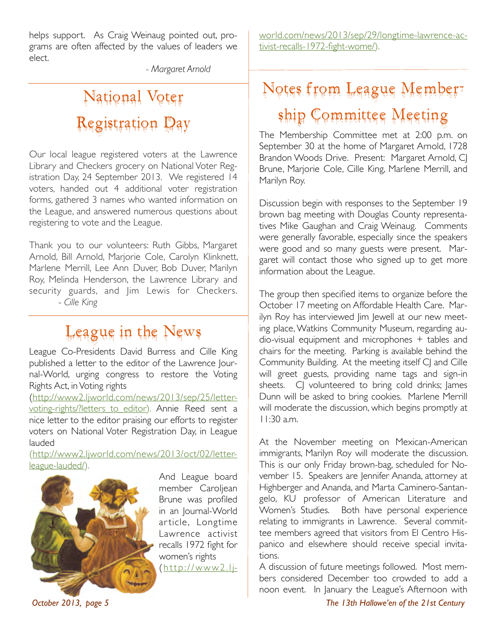helps support. As Craig Weinaug pointed out, programs are often affected by the values of leaders we elect.

!!!! *- Margaret Arnold* 

# National Voter Registration Day

Our local league registered voters at the Lawrence Library and Checkers grocery on National Voter Registration Day, 24 September 2013. We registered 14 voters, handed out 4 additional voter registration forms, gathered 3 names who wanted information on the League, and answered numerous questions about registering to vote and the League.

Thank you to our volunteers: Ruth Gibbs, Margaret Arnold, Bill Arnold, Marjorie Cole, Carolyn Klinknett, Marlene Merrill, Lee Ann Duver, Bob Duver, Marilyn Roy, Melinda Henderson, the Lawrence Library and security guards, and Jim Lewis for Checkers. - *Cille King*

### League in the News

League Co-Presidents David Burress and Cille King published a letter to the editor of the Lawrence Journal-World, urging congress to restore the Voting Rights Act, in Voting rights

(http://www2.ljworld.com/news/2013/sep/25/lettervoting-rights/?letters\_to\_editor). Annie Reed sent a nice letter to the editor praising our efforts to register voters on National Voter Registration Day, in League lauded

(http://www2.ljworld.com/news/2013/oct/02/letterleague-lauded/).



And League board member Caroljean Brune was profiled in an Journal-World ar ticle, Longtime Lawrence activist recalls 1972 fight for women's rights ( http://www2.ljworld.com/news/2013/sep/29/longtime-lawrence-activist-recalls-1972-fight-wome/).

# Notes from League Membership Committee Meeting

The Membership Committee met at 2:00 p.m. on September 30 at the home of Margaret Arnold, 1728 Brandon Woods Drive. Present: Margaret Arnold, CJ Brune, Marjorie Cole, Cille King, Marlene Merrill, and Marilyn Roy.

Discussion begin with responses to the September 19 brown bag meeting with Douglas County representatives Mike Gaughan and Craig Weinaug. Comments were generally favorable, especially since the speakers were good and so many guests were present. Margaret will contact those who signed up to get more information about the League.

The group then specified items to organize before the October 17 meeting on Affordable Health Care. Marilyn Roy has interviewed Jim Jewell at our new meeting place, Watkins Community Museum, regarding audio-visual equipment and microphones + tables and chairs for the meeting. Parking is available behind the Community Building. At the meeting itself CJ and Cille will greet guests, providing name tags and sign-in sheets. C volunteered to bring cold drinks; lames Dunn will be asked to bring cookies. Marlene Merrill will moderate the discussion, which begins promptly at 11:30 a.m.

At the November meeting on Mexican-American immigrants, Marilyn Roy will moderate the discussion. This is our only Friday brown-bag, scheduled for November 15. Speakers are Jennifer Ananda, attorney at Highberger and Ananda, and Marta Caminero-Santangelo, KU professor of American Literature and Women's Studies. Both have personal experience relating to immigrants in Lawrence. Several committee members agreed that visitors from El Centro Hispanico and elsewhere should receive special invitations.

A discussion of future meetings followed. Most members considered December too crowded to add a noon event. In January the League's Afternoon with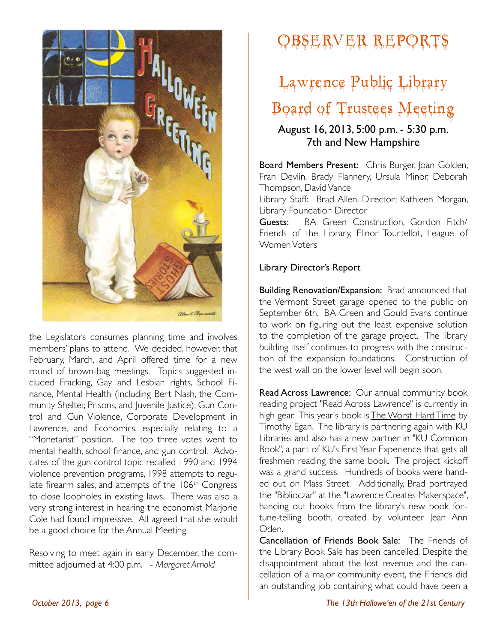

the Legislators consumes planning time and involves members' plans to attend. We decided, however, that February, March, and April offered time for a new round of brown-bag meetings. Topics suggested included Fracking, Gay and Lesbian rights, School Finance, Mental Health (including Bert Nash, the Community Shelter, Prisons, and Juvenile Justice), Gun Control and Gun Violence, Corporate Development in Lawrence, and Economics, especially relating to a "Monetarist" position. The top three votes went to mental health, school finance, and gun control. Advocates of the gun control topic recalled 1990 and 1994 violence prevention programs, 1998 attempts to regulate firearm sales, and attempts of the 106<sup>th</sup> Congress to close loopholes in existing laws. There was also a very strong interest in hearing the economist Marjorie Cole had found impressive. All agreed that she would be a good choice for the Annual Meeting.

Resolving to meet again in early December, the committee adjourned at 4:00 p.m. - *Margaret Arnold*

# Observer Reports

# Lawrence Public Library Board of Trustees Meeting

#### August 16, 2013, 5:00 p.m. - 5:30 p.m. 7th and New Hampshire

Board Members Present: Chris Burger, Joan Golden, Fran Devlin, Brady Flannery, Ursula Minor, Deborah Thompson, David Vance

Library Staff: Brad Allen, Director; Kathleen Morgan, Library Foundation Director

Guests: BA Green Construction, Gordon Fitch/ Friends of the Library, Elinor Tourtellot, League of Women Voters

#### Library Director's Report

Building Renovation/Expansion: Brad announced that the Vermont Street garage opened to the public on September 6th. BA Green and Gould Evans continue to work on figuring out the least expensive solution to the completion of the garage project. The library building itself continues to progress with the construction of the expansion foundations. Construction of the west wall on the lower level will begin soon.

Read Across Lawrence: Our annual community book reading project "Read Across Lawrence" is currently in high gear. This year's book is The Worst Hard Time by Timothy Egan. The library is partnering again with KU Libraries and also has a new partner in "KU Common Book", a part of KU's First Year Experience that gets all freshmen reading the same book. The project kickoff was a grand success. Hundreds of books were handed out on Mass Street. Additionally, Brad portrayed the "Biblioczar" at the "Lawrence Creates Makerspace", handing out books from the library's new book fortune-telling booth, created by volunteer Jean Ann Oden.

Cancellation of Friends Book Sale: The Friends of the Library Book Sale has been cancelled. Despite the disappointment about the lost revenue and the cancellation of a major community event, the Friends did an outstanding job containing what could have been a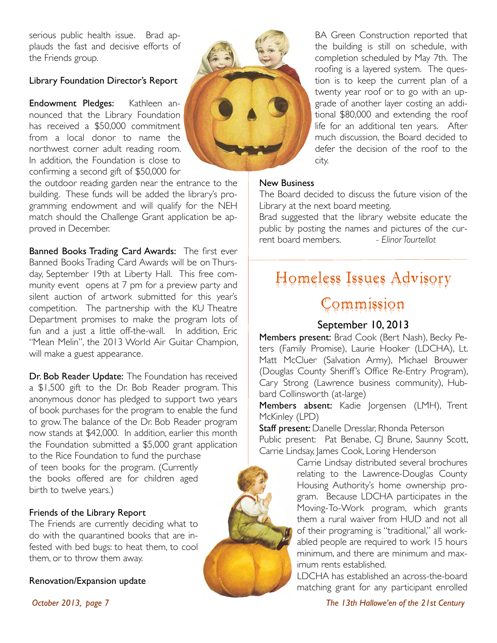serious public health issue. Brad applauds the fast and decisive efforts of the Friends group.

#### Library Foundation Director's Report

Endowment Pledges: Kathleen announced that the Library Foundation has received a \$50,000 commitment from a local donor to name the northwest corner adult reading room. In addition, the Foundation is close to confirming a second gift of \$50,000 for

the outdoor reading garden near the entrance to the building. These funds will be added the library's programming endowment and will qualify for the NEH match should the Challenge Grant application be approved in December.

Banned Books Trading Card Awards: The first ever Banned Books Trading Card Awards will be on Thursday, September 19th at Liberty Hall. This free community event opens at 7 pm for a preview party and silent auction of artwork submitted for this year's competition. The partnership with the KU Theatre Department promises to make the program lots of fun and a just a little off-the-wall. In addition, Eric "Mean Melin", the 2013 World Air Guitar Champion, will make a guest appearance.

Dr. Bob Reader Update: The Foundation has received a \$1,500 gift to the Dr. Bob Reader program. This anonymous donor has pledged to support two years of book purchases for the program to enable the fund to grow. The balance of the Dr. Bob Reader program now stands at \$42,000. In addition, earlier this month the Foundation submitted a \$5,000 grant application to the Rice Foundation to fund the purchase of teen books for the program. (Currently the books offered are for children aged birth to twelve years.)

#### Friends of the Library Report

The Friends are currently deciding what to do with the quarantined books that are infested with bed bugs: to heat them, to cool them, or to throw them away.

#### Renovation/Expansion update



BA Green Construction reported that the building is still on schedule, with completion scheduled by May 7th. The roofing is a layered system. The question is to keep the current plan of a twenty year roof or to go with an upgrade of another layer costing an additional \$80,000 and extending the roof life for an additional ten years. After much discussion, the Board decided to defer the decision of the roof to the city.

#### New Business

The Board decided to discuss the future vision of the Library at the next board meeting.

Brad suggested that the library website educate the public by posting the names and pictures of the current board members.! ! *- Elinor Tourtellot* 

### Homeless Issues Advisory

### Commission

#### September 10, 2013

Members present: Brad Cook (Bert Nash), Becky Peters (Family Promise), Laurie Hooker (LDCHA), Lt. Matt McCluer (Salvation Army), Michael Brouwer (Douglas County Sheriff's Office Re-Entry Program), Cary Strong (Lawrence business community), Hubbard Collinsworth (at-large)

Members absent: Kadie Jorgensen (LMH), Trent McKinley (LPD)

Staff present: Danelle Dresslar, Rhonda Peterson Public present: Pat Benabe, CJ Brune, Saunny Scott, Carrie Lindsay, James Cook, Loring Henderson

> Carrie Lindsay distributed several brochures relating to the Lawrence-Douglas County Housing Authority's home ownership program. Because LDCHA participates in the Moving-To-Work program, which grants them a rural waiver from HUD and not all of their programing is "traditional," all workabled people are required to work 15 hours minimum, and there are minimum and maximum rents established.

> LDCHA has established an across-the-board matching grant for any participant enrolled

*October 2013, page 7 The 13th Hallowe'en of the 21st Century*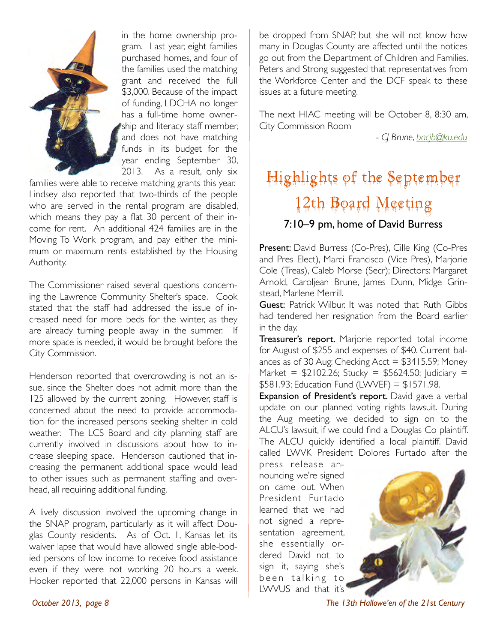

in the home ownership program. Last year, eight families purchased homes, and four of the families used the matching grant and received the full \$3,000. Because of the impact of funding, LDCHA no longer has a full-time home ownership and literacy staff member. and does not have matching funds in its budget for the year ending September 30, 2013. As a result, only six

families were able to receive matching grants this year. Lindsey also reported that two-thirds of the people who are served in the rental program are disabled, which means they pay a flat 30 percent of their income for rent. An additional 424 families are in the Moving To Work program, and pay either the minimum or maximum rents established by the Housing Authority.

The Commissioner raised several questions concerning the Lawrence Community Shelter's space. Cook stated that the staff had addressed the issue of increased need for more beds for the winter, as they are already turning people away in the summer. If more space is needed, it would be brought before the City Commission.

Henderson reported that overcrowding is not an issue, since the Shelter does not admit more than the 125 allowed by the current zoning. However, staff is concerned about the need to provide accommodation for the increased persons seeking shelter in cold weather. The LCS Board and city planning staff are currently involved in discussions about how to increase sleeping space. Henderson cautioned that increasing the permanent additional space would lead to other issues such as permanent staffing and overhead, all requiring additional funding.

A lively discussion involved the upcoming change in the SNAP program, particularly as it will affect Douglas County residents. As of Oct. 1, Kansas let its waiver lapse that would have allowed single able-bodied persons of low income to receive food assistance even if they were not working 20 hours a week. Hooker reported that 22,000 persons in Kansas will

be dropped from SNAP, but she will not know how many in Douglas County are affected until the notices go out from the Department of Children and Families. Peters and Strong suggested that representatives from the Workforce Center and the DCF speak to these issues at a future meeting.

The next HIAC meeting will be October 8, 8:30 am, City Commission Room

*!!!! - CJ Brune, bacjb@ku.edu*

### Highlights of the September 12th Board Meeting 7:10–9 pm, home of David Burress

Present: David Burress (Co-Pres), Cille King (Co-Pres and Pres Elect), Marci Francisco (Vice Pres), Marjorie Cole (Treas), Caleb Morse (Secr); Directors: Margaret Arnold, Caroliean Brune, James Dunn, Midge Grinstead, Marlene Merrill.

Guest: Patrick Wilbur. It was noted that Ruth Gibbs had tendered her resignation from the Board earlier in the day.

Treasurer's report. Marjorie reported total income for August of \$255 and expenses of \$40. Current balances as of 30 Aug: Checking Acct = \$3415.59; Money Market =  $$2102.26$ ; Stucky = \$5624.50; Judiciary =  $$581.93;$  Education Fund (LVVVEF) =  $$1571.98$ .

Expansion of President's report. David gave a verbal update on our planned voting rights lawsuit. During the Aug meeting, we decided to sign on to the ALCU's lawsuit, if we could find a Douglas Co plaintiff. The ALCU quickly identified a local plaintiff. David called LWVK President Dolores Furtado after the

press release announcing we're signed on came out. When President Furtado learned that we had not signed a representation agreement, she essentially ordered David not to sign it, saying she's been talking to LWVUS and that it's



*October 2013, page 8 The 13th Hallowe'en of the 21st Century*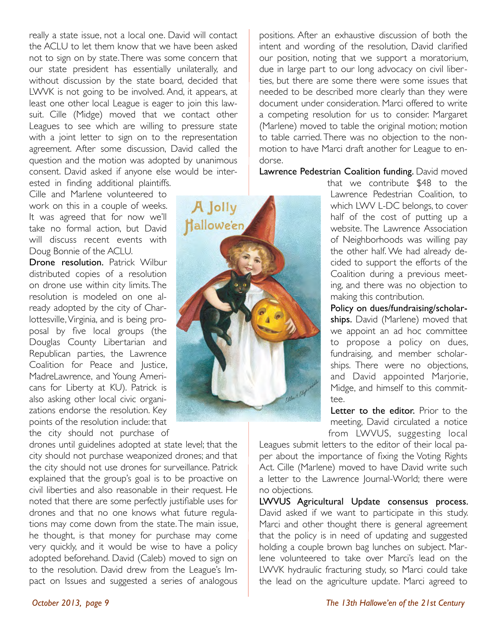really a state issue, not a local one. David will contact the ACLU to let them know that we have been asked not to sign on by state. There was some concern that our state president has essentially unilaterally, and without discussion by the state board, decided that LWVK is not going to be involved. And, it appears, at least one other local League is eager to join this lawsuit. Cille (Midge) moved that we contact other Leagues to see which are willing to pressure state with a joint letter to sign on to the representation agreement. After some discussion, David called the question and the motion was adopted by unanimous consent. David asked if anyone else would be interested in finding additional plaintiffs.

Cille and Marlene volunteered to work on this in a couple of weeks. It was agreed that for now we'll take no formal action, but David will discuss recent events with Doug Bonnie of the ACLU.

Drone resolution. Patrick Wilbur distributed copies of a resolution on drone use within city limits. The resolution is modeled on one already adopted by the city of Charlottesville, Virginia, and is being proposal by five local groups (the Douglas County Libertarian and Republican parties, the Lawrence Coalition for Peace and Justice, MadreLawrence, and Young Americans for Liberty at KU). Patrick is also asking other local civic organizations endorse the resolution. Key points of the resolution include: that the city should not purchase of

drones until guidelines adopted at state level; that the city should not purchase weaponized drones; and that the city should not use drones for surveillance. Patrick explained that the group's goal is to be proactive on civil liberties and also reasonable in their request. He noted that there are some perfectly justifiable uses for drones and that no one knows what future regulations may come down from the state. The main issue, he thought, is that money for purchase may come very quickly, and it would be wise to have a policy adopted beforehand. David (Caleb) moved to sign on to the resolution. David drew from the League's Impact on Issues and suggested a series of analogous



positions. After an exhaustive discussion of both the intent and wording of the resolution, David clarified our position, noting that we support a moratorium, due in large part to our long advocacy on civil liberties, but there are some there were some issues that needed to be described more clearly than they were document under consideration. Marci offered to write a competing resolution for us to consider. Margaret (Marlene) moved to table the original motion; motion to table carried. There was no objection to the nonmotion to have Marci draft another for League to endorse.

#### Lawrence Pedestrian Coalition funding. David moved

that we contribute \$48 to the Lawrence Pedestrian Coalition, to which LWV L-DC belongs, to cover half of the cost of putting up a website. The Lawrence Association of Neighborhoods was willing pay the other half. We had already decided to support the efforts of the Coalition during a previous meeting, and there was no objection to making this contribution.

Policy on dues/fundraising/scholarships. David (Marlene) moved that we appoint an ad hoc committee to propose a policy on dues, fundraising, and member scholarships. There were no objections, and David appointed Marjorie, Midge, and himself to this committee.

Letter to the editor. Prior to the meeting, David circulated a notice from LWVUS, suggesting local

Leagues submit letters to the editor of their local paper about the importance of fixing the Voting Rights Act. Cille (Marlene) moved to have David write such a letter to the Lawrence Journal-World; there were no objections.

LWVUS Agricultural Update consensus process. David asked if we want to participate in this study. Marci and other thought there is general agreement that the policy is in need of updating and suggested holding a couple brown bag lunches on subject. Marlene volunteered to take over Marci's lead on the LWVK hydraulic fracturing study, so Marci could take the lead on the agriculture update. Marci agreed to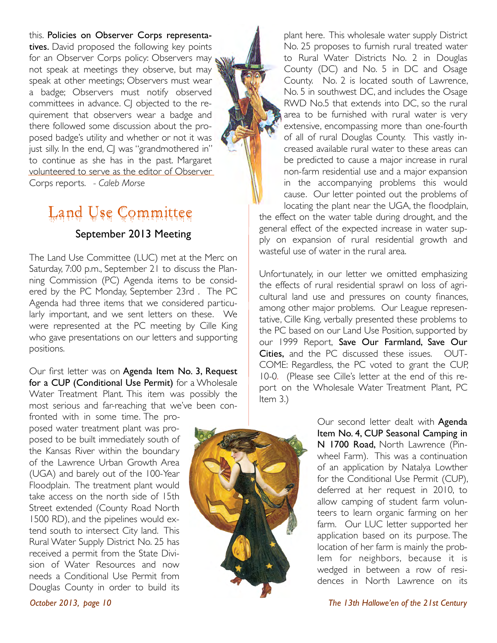this. Policies on Observer Corps representatives. David proposed the following key points for an Observer Corps policy: Observers may not speak at meetings they observe, but may speak at other meetings; Observers must wear a badge; Observers must notify observed committees in advance. CJ objected to the requirement that observers wear a badge and there followed some discussion about the proposed badge's utility and whether or not it was just silly. In the end, CJ was "grandmothered in" to continue as she has in the past. Margaret volunteered to serve as the editor of Observer Corps reports. *- Caleb Morse*

# Land Use Committee

#### September 2013 Meeting

The Land Use Committee (LUC) met at the Merc on Saturday, 7:00 p.m., September 21 to discuss the Planning Commission (PC) Agenda items to be considered by the PC Monday, September 23rd . The PC Agenda had three items that we considered particularly important, and we sent letters on these. We were represented at the PC meeting by Cille King who gave presentations on our letters and supporting positions.

Our first letter was on Agenda Item No. 3, Request for a CUP (Conditional Use Permit) for a Wholesale Water Treatment Plant. This item was possibly the most serious and far-reaching that we've been con-

fronted with in some time. The proposed water treatment plant was proposed to be built immediately south of the Kansas River within the boundary of the Lawrence Urban Growth Area (UGA) and barely out of the 100-Year Floodplain. The treatment plant would take access on the north side of 15th Street extended (County Road North 1500 RD), and the pipelines would extend south to intersect City land. This Rural Water Supply District No. 25 has received a permit from the State Division of Water Resources and now needs a Conditional Use Permit from Douglas County in order to build its

plant here. This wholesale water supply District No. 25 proposes to furnish rural treated water to Rural Water Districts No. 2 in Douglas County (DC) and No. 5 in DC and Osage County. No. 2 is located south of Lawrence, No. 5 in southwest DC, and includes the Osage RWD No.5 that extends into DC, so the rural area to be furnished with rural water is very extensive, encompassing more than one-fourth of all of rural Douglas County. This vastly increased available rural water to these areas can be predicted to cause a major increase in rural non-farm residential use and a major expansion in the accompanying problems this would cause. Our letter pointed out the problems of locating the plant near the UGA, the floodplain, the effect on the water table during drought, and the general effect of the expected increase in water supply on expansion of rural residential growth and wasteful use of water in the rural area.

Unfortunately, in our letter we omitted emphasizing the effects of rural residential sprawl on loss of agricultural land use and pressures on county finances, among other major problems. Our League representative, Cille King, verbally presented these problems to the PC based on our Land Use Position, supported by our 1999 Report, Save Our Farmland, Save Our Cities, and the PC discussed these issues. OUT-COME: Regardless, the PC voted to grant the CUP, 10-0. (Please see Cille's letter at the end of this report on the Wholesale Water Treatment Plant, PC Item 3.)



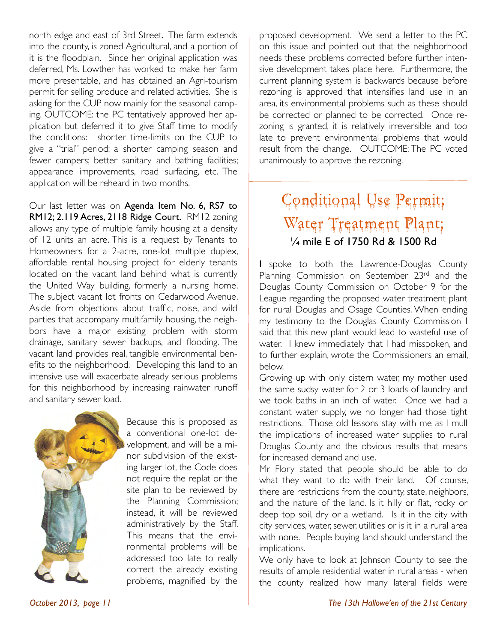north edge and east of 3rd Street. The farm extends into the county, is zoned Agricultural, and a portion of it is the floodplain. Since her original application was deferred, Ms. Lowther has worked to make her farm more presentable, and has obtained an Agri-tourism permit for selling produce and related activities. She is asking for the CUP now mainly for the seasonal camping. OUTCOME: the PC tentatively approved her application but deferred it to give Staff time to modify the conditions: shorter time-limits on the CUP to give a "trial" period; a shorter camping season and fewer campers; better sanitary and bathing facilities; appearance improvements, road surfacing, etc. The application will be reheard in two months.

Our last letter was on Agenda Item No. 6, RS7 to RM12; 2.119 Acres, 2118 Ridge Court. RM12 zoning allows any type of multiple family housing at a density of 12 units an acre. This is a request by Tenants to Homeowners for a 2-acre, one-lot multiple duplex, affordable rental housing project for elderly tenants located on the vacant land behind what is currently the United Way building, formerly a nursing home. The subject vacant lot fronts on Cedarwood Avenue. Aside from objections about traffic, noise, and wild parties that accompany multifamily housing, the neighbors have a major existing problem with storm drainage, sanitary sewer backups, and flooding. The vacant land provides real, tangible environmental benefits to the neighborhood. Developing this land to an intensive use will exacerbate already serious problems for this neighborhood by increasing rainwater runoff and sanitary sewer load.



Because this is proposed as a conventional one-lot development, and will be a minor subdivision of the existing larger lot, the Code does not require the replat or the site plan to be reviewed by the Planning Commission; instead, it will be reviewed administratively by the Staff. This means that the environmental problems will be addressed too late to really correct the already existing problems, magnified by the

proposed development. We sent a letter to the PC on this issue and pointed out that the neighborhood needs these problems corrected before further intensive development takes place here. Furthermore, the current planning system is backwards because before rezoning is approved that intensifies land use in an area, its environmental problems such as these should be corrected or planned to be corrected. Once rezoning is granted, it is relatively irreversible and too late to prevent environmental problems that would result from the change. OUTCOME: The PC voted unanimously to approve the rezoning.

### Conditional Use Permit; Water Treatment Plant; 1/<sub>4</sub> mile E of 1750 Rd & 1500 Rd

I spoke to both the Lawrence-Douglas County Planning Commission on September 23rd and the Douglas County Commission on October 9 for the League regarding the proposed water treatment plant for rural Douglas and Osage Counties. When ending my testimony to the Douglas County Commission I said that this new plant would lead to wasteful use of water. I knew immediately that I had misspoken, and to further explain, wrote the Commissioners an email, below.

Growing up with only cistern water, my mother used the same sudsy water for 2 or 3 loads of laundry and we took baths in an inch of water. Once we had a constant water supply, we no longer had those tight restrictions. Those old lessons stay with me as I mull the implications of increased water supplies to rural Douglas County and the obvious results that means for increased demand and use.

Mr Flory stated that people should be able to do what they want to do with their land. Of course, there are restrictions from the county, state, neighbors, and the nature of the land. Is it hilly or flat, rocky or deep top soil, dry or a wetland. Is it in the city with city services, water, sewer, utilities or is it in a rural area with none. People buying land should understand the implications.

We only have to look at Johnson County to see the results of ample residential water in rural areas - when the county realized how many lateral fields were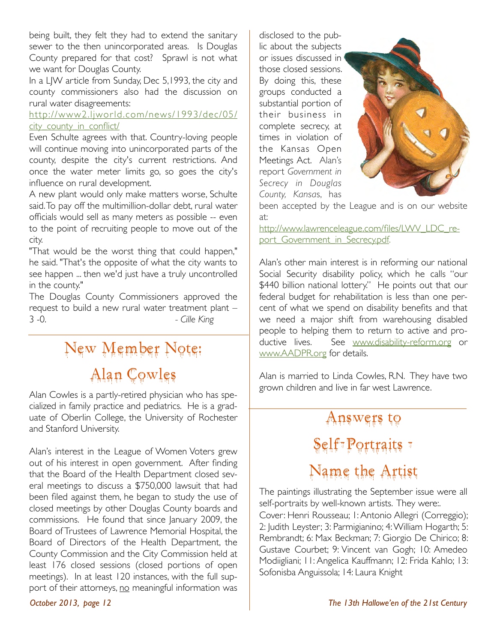being built, they felt they had to extend the sanitary sewer to the then unincorporated areas. Is Douglas County prepared for that cost? Sprawl is not what we want for Douglas County.

In a LJW article from Sunday, Dec 5,1993, the city and county commissioners also had the discussion on rural water disagreements:

#### http://www2.ljworld.com/news/1993/dec/05/ city\_county\_in\_conflict/

Even Schulte agrees with that. Country-loving people will continue moving into unincorporated parts of the county, despite the city's current restrictions. And once the water meter limits go, so goes the city's influence on rural development.

A new plant would only make matters worse, Schulte said. To pay off the multimillion-dollar debt, rural water officials would sell as many meters as possible -- even to the point of recruiting people to move out of the city.

"That would be the worst thing that could happen," he said. "That's the opposite of what the city wants to see happen ... then we'd just have a truly uncontrolled in the county."

The Douglas County Commissioners approved the request to build a new rural water treatment plant – 3 -0.!! ! ! ! *- Cille King*

# New Member Note: Alan Cowles

Alan Cowles is a partly-retired physician who has specialized in family practice and pediatrics. He is a graduate of Oberlin College, the University of Rochester and Stanford University.

Alan's interest in the League of Women Voters grew out of his interest in open government. After finding that the Board of the Health Department closed several meetings to discuss a \$750,000 lawsuit that had been filed against them, he began to study the use of closed meetings by other Douglas County boards and commissions. He found that since January 2009, the Board of Trustees of Lawrence Memorial Hospital, the Board of Directors of the Health Department, the County Commission and the City Commission held at least 176 closed sessions (closed portions of open meetings). In at least 120 instances, with the full support of their attorneys, no meaningful information was disclosed to the public about the subjects or issues discussed in those closed sessions. By doing this, these groups conducted a substantial portion of their business in complete secrecy, at times in violation of the Kansas Open Meetings Act. Alan's report *Government in Secrecy in Douglas County, Kansa*s, has



been accepted by the League and is on our website at:

http://www.lawrenceleague.com/files/LWV\_LDC\_report\_Government\_in\_Secrecy.pdf.

Alan's other main interest is in reforming our national Social Security disability policy, which he calls "our \$440 billion national lottery." He points out that our federal budget for rehabilitation is less than one percent of what we spend on disability benefits and that we need a major shift from warehousing disabled people to helping them to return to active and productive lives. See www.disability-reform.org or www.AADPR.org for details.

Alan is married to Linda Cowles, R.N. They have two grown children and live in far west Lawrence.

# Answers to Self-Portraits +

### Name the Artist

The paintings illustrating the September issue were all self-portraits by well-known artists. They were:.

Cover: Henri Rousseau; 1: Antonio Allegri (Correggio); 2: Judith Leyster; 3: Parmigianino; 4: William Hogarth; 5: Rembrandt; 6: Max Beckman; 7: Giorgio De Chirico; 8: Gustave Courbet; 9: Vincent van Gogh; 10: Amedeo Modiigliani; 11: Angelica Kauffmann; 12: Frida Kahlo; 13: Sofonisba Anguissola; 14: Laura Knight